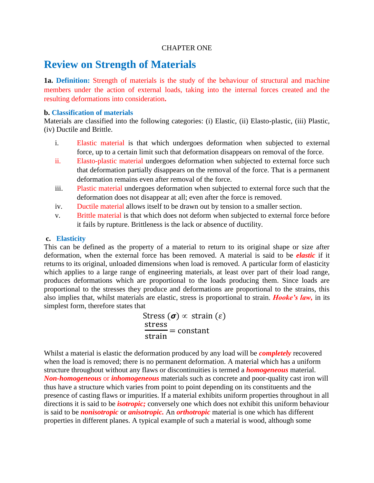### CHAPTER ONE

# **Review on Strength of Materials**

**1a. Definition:** Strength of materials is the study of the behaviour of structural and machine members under the action of external loads, taking into the internal forces created and the resulting deformations into consideration**.**

### **b. Classification of materials**

Materials are classified into the following categories: (i) Elastic, (ii) Elasto-plastic, (iii) Plastic, (iv) Ductile and Brittle.

- i. Elastic material is that which undergoes deformation when subjected to external force, up to a certain limit such that deformation disappears on removal of the force.
- ii. Elasto-plastic material undergoes deformation when subjected to external force such that deformation partially disappears on the removal of the force. That is a permanent deformation remains even after removal of the force.
- iii. Plastic material undergoes deformation when subjected to external force such that the deformation does not disappear at all; even after the force is removed.
- iv. Ductile material allows itself to be drawn out by tension to a smaller section.
- v. Brittle material is that which does not deform when subjected to external force before it fails by rupture. Brittleness is the lack or absence of ductility.

### **c. Elasticity**

This can be defined as the property of a material to return to its original shape or size after deformation, when the external force has been removed. A material is said to be *elastic* if it returns to its original, unloaded dimensions when load is removed. A particular form of elasticity which applies to a large range of engineering materials, at least over part of their load range, produces deformations which are proportional to the loads producing them. Since loads are proportional to the stresses they produce and deformations are proportional to the strains, this also implies that, whilst materials are elastic, stress is proportional to strain. *Hooke's law,* in its simplest form, therefore states that

> Stress  $(\sigma) \propto$  strain  $(\varepsilon)$ S  $\frac{\sin 325}{\sinh 3} = constant$

Whilst a material is elastic the deformation produced by any load will be *completely* recovered when the load is removed; there is no permanent deformation. A material which has a uniform structure throughout without any flaws or discontinuities is termed a *homogeneous* material. *Non-homogeneous* or *inhomogeneous* materials such as concrete and poor-quality cast iron will thus have a structure which varies from point to point depending on its constituents and the presence of casting flaws or impurities. If a material exhibits uniform properties throughout in all directions it is said to be *isotropic;* conversely one which does not exhibit this uniform behaviour is said to be *nonisotropic* or *anisotropic.* An *orthotropic* material is one which has different properties in different planes. A typical example of such a material is wood, although some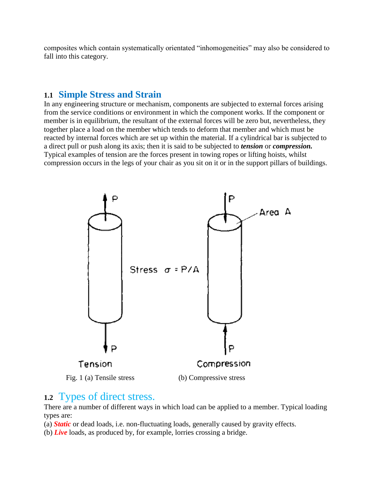composites which contain systematically orientated "inhomogeneities" may also be considered to fall into this category.

# **1.1 Simple Stress and Strain**

In any engineering structure or mechanism, components are subjected to external forces arising from the service conditions or environment in which the component works. If the component or member is in equilibrium, the resultant of the external forces will be zero but, nevertheless, they together place a load on the member which tends to deform that member and which must be reacted by internal forces which are set up within the material. If a cylindrical bar is subjected to a direct pull or push along its axis; then it is said to be subjected to *tension* or *compression.*  Typical examples of tension are the forces present in towing ropes or lifting hoists, whilst compression occurs in the legs of your chair as you sit on it or in the support pillars of buildings.



# **1.2** Types of direct stress.

There are a number of different ways in which load can be applied to a member. Typical loading types are:

(a) *Static* or dead loads, i.e. non-fluctuating loads, generally caused by gravity effects.

(b) *Live* loads, as produced by, for example, lorries crossing a bridge.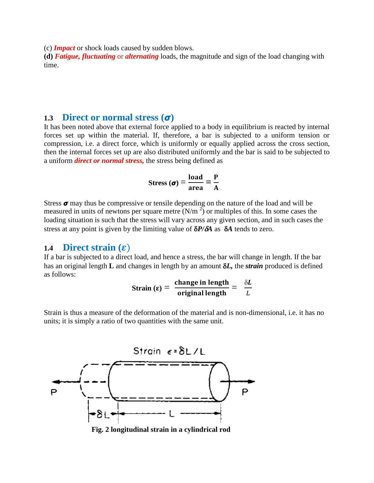(c) *Impact* or shock loads caused by sudden blows.

**(d)** *Fatigue, fluctuating* or *alternating* loads, the magnitude and sign of the load changing with time.

## **1.3 Direct or normal stress**  $(\sigma)$

It has been noted above that external force applied to a body in equilibrium is reacted by internal forces set up within the material. If, therefore, a bar is subjected to a uniform tension or compression, i.e. a direct force, which is uniformly or equally applied across the cross section, then the internal forces set up are also distributed uniformly and the bar is said to be subjected to a uniform *direct or normal stress,* the stress being defined as

$$
\text{Stress}(\sigma) = \frac{\text{load}}{\text{area}} = \frac{P}{A}
$$

Stress  $\sigma$  may thus be compressive or tensile depending on the nature of the load and will be measured in units of newtons per square metre  $(N/m^2)$  or multiples of this. In some cases the loading situation is such that the stress will vary across any given section, and in such cases the stress at any point is given by the limiting value of  $\delta P/\delta A$  as  $\delta A$  tends to zero.

## 1.4 **Direct strain (** $\varepsilon$ **)**

If a bar is subjected to a direct load, and hence a stress, the bar will change in length. If the bar has an original length **L** and changes in length by an amount *L,* the *strain* produced is defined as follows:

Strain 
$$
(\varepsilon)
$$
 =  $\frac{\text{change in length}}{\text{original length}}$  =  $\frac{\delta L}{L}$ 

Strain is thus a measure of the deformation of the material and is non-dimensional, i.e. it has no units; it is simply a ratio of two quantities with the same unit.



 **Fig. 2 longitudinal strain in a cylindrical rod**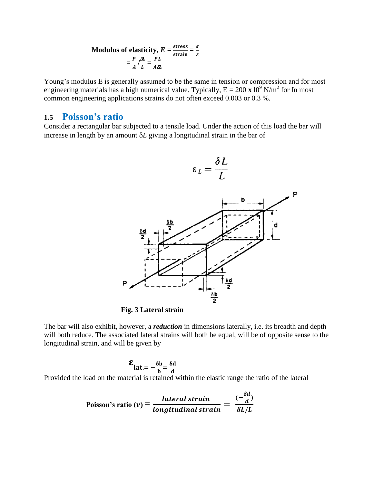Modulus of elasticity, 
$$
E = \frac{\text{stress}}{\text{strain}} = \frac{\sigma}{\varepsilon}
$$
  
=  $\frac{P}{A} / \frac{\delta L}{L} = \frac{PL}{A \delta L}$ 

Young's modulus E is generally assumed to be the same in tension or compression and for most engineering materials has a high numerical value. Typically,  $E = 200 \times 10^{9}$  N/m<sup>2</sup> for In most common engineering applications strains do not often exceed 0.003 or 0.3 %.

## **1.5 Poisson's ratio**

Consider a rectangular bar subjected to a tensile load. Under the action of this load the bar will increase in length by an amount  $\delta L$  giving a longitudinal strain in the bar of



 $\sim$   $\blacksquare$ 

**Fig. 3 Lateral strain**

The bar will also exhibit, however, a *reduction* in dimensions laterally, i.e. its breadth and depth will both reduce. The associated lateral strains will both be equal, will be of opposite sense to the longitudinal strain, and will be given by

$$
\mathbf{E}_{\mathbf{lat} = -\frac{\delta \mathbf{b}}{\mathbf{b}} = \frac{\delta \mathbf{d}}{\mathbf{d}}}
$$

Provided the load on the material is retained within the elastic range the ratio of the lateral

Poisson's ratio (
$$
v
$$
) =  $\frac{lateral strain}{longitudinal strain} = \frac{(-\frac{\delta d}{d})}{\delta L/L}$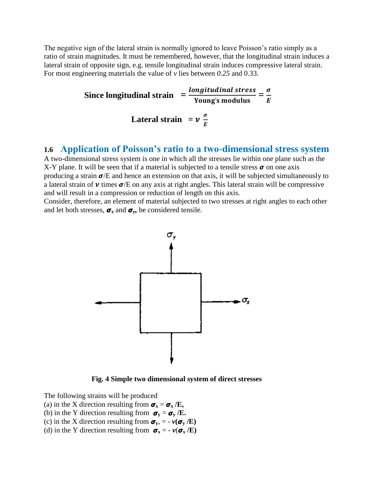The negative sign of the lateral strain is normally ignored to leave Poisson's ratio simply as a ratio of strain magnitudes. It must be remembered, however, that the longitudinal strain induces a lateral strain of opposite sign, e.g. tensile longitudinal strain induces compressive lateral strain. For most engineering materials the value of *v* lies between *0.25* and 0.33.

**Since longitudinal strain**  $=$   $\frac{longitudinal stress}{Young's modulus}$  $=$   $\frac{\sigma}{E}$ E **Lateral strain** =  $v \frac{\sigma}{E}$ E

## **1.6 Application of Poisson's ratio to a two-dimensional stress system**

A two-dimensional stress system is one in which all the stresses lie within one plane such as the X-Y plane. It will be seen that if a material is subjected to a tensile stress  $\sigma$  on one axis producing a strain  $\sigma$ /E and hence an extension on that axis, it will be subjected simultaneously to a lateral strain of  $\nu$  times  $\sigma$ /E on any axis at right angles. This lateral strain will be compressive and will result in a compression or reduction of length on this axis.

Consider, therefore, an element of material subjected to two stresses at right angles to each other and let both stresses,  $\sigma_x$  and  $\sigma_y$ , be considered tensile.



**Fig. 4 Simple two dimensional system of direct stresses**

- The following strains will be produced
- (a) in the X direction resulting from  $\sigma_x = \sigma_x / E$ ,
- (b) in the Y direction resulting from  $\sigma_y = \sigma_y / E$ .
- (c) in the X direction resulting from  $\sigma_y$ , =  $v(\sigma_y/E)$
- (d) in the Y direction resulting from  $\sigma_x = -\nu(\sigma_x/E)$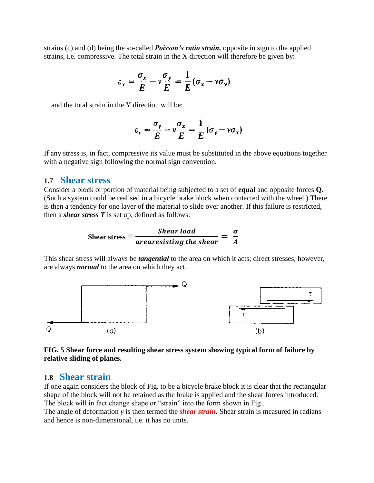strains (c) and (d) being the so-called *Poisson's ratio strain,* opposite in sign to the applied strains, i.e. compressive. The total strain in the X direction will therefore be given by:

$$
\varepsilon_x = \frac{\sigma_x}{E} - \nu \frac{\sigma_y}{E} = \frac{1}{E} (\sigma_x - \nu \sigma_y)
$$

and the total strain in the Y direction will be:

$$
\varepsilon_{y} = \frac{\sigma_{y}}{E} - \nu \frac{\sigma_{x}}{E} = \frac{1}{E} (\sigma_{y} - \nu \sigma_{x})
$$

If any stress is, in fact, compressive its value must be substituted in the above equations together with a negative sign following the normal sign convention.

## **1.7 Shear stress**

Consider a block or portion of material being subjected to a set of **equal** and opposite forces **Q.**  (Such a system could be realised in a bicycle brake block when contacted with the wheel.) There is then a tendency for one layer of the material to slide over another. If this failure is restricted, then a *shear stress T* is set up, defined as follows:

Shear stress = 
$$
\frac{Shear load}{arearesisting the shear} = \frac{\sigma}{A}
$$

This shear stress will always be *tangential* to the area on which it acts; direct stresses, however, are always *normal* to the area on which they act.



### **FIG. 5 Shear force and resulting shear stress system showing typical form of failure by relative sliding of planes.**

## **1.8 Shear strain**

If one again considers the block of Fig. to be a bicycle brake block it is clear that the rectangular shape of the block will not be retained as the brake is applied and the shear forces introduced. The block will in fact change shape or "strain" into the form shown in Fig .

The angle of deformation *y* is then termed the *shear strain.* Shear strain is measured in radians and hence is non-dimensional, i.e. it has no units.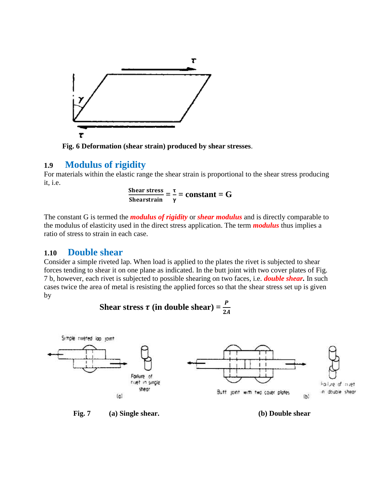

 **Fig. 6 Deformation (shear strain) produced by shear stresses**.

## **1.9 Modulus of rigidity**

For materials within the elastic range the shear strain is proportional to the shear stress producing it, i.e.

> S  $\frac{\text{Shear stress}}{\text{Shearstrain}} = \frac{\tau}{\gamma}$  $\frac{1}{\gamma}$  = constant = G

The constant G is termed the *modulus of rigidity* or *shear modulus* and is directly comparable to the modulus of elasticity used in the direct stress application. The term *modulus* thus implies a ratio of stress to strain in each case.

## **1.10 Double shear**

Consider a simple riveted lap. When load is applied to the plates the rivet is subjected to shear forces tending to shear it on one plane as indicated. In the butt joint with two cover plates of Fig. 7 b, however, each rivet is subjected to possible shearing on two faces, i.e. *double shear.* In such cases twice the area of metal is resisting the applied forces so that the shear stress set up is given by

Shear stress 
$$
\tau
$$
 (in double shear) =  $\frac{P}{2A}$ 



 **Fig. 7 (a) Single shear. (b) Double shear**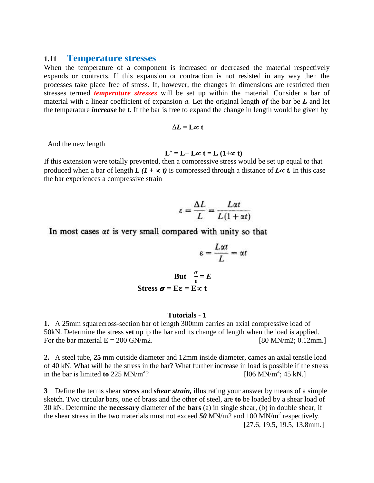### **1.11 Temperature stresses**

When the temperature of a component is increased or decreased the material respectively expands or contracts. If this expansion or contraction is not resisted in any way then the processes take place free of stress. If, however, the changes in dimensions are restricted then stresses termed *temperature stresses* will be set up within the material. Consider a bar of material with a linear coefficient of expansion *a.* Let the original length *of* the bar be *L* and let the temperature *increase* be **t***.* If the bar is free to expand the change in length would be given by

$$
\Delta L = \mathbf{L} \infty \; \mathbf{t}
$$

And the new length

$$
L' = L + L \propto t = L (1 + \infty t)
$$

If this extension were totally prevented, then a compressive stress would be set up equal to that produced when a bar of length  $L(I + \alpha t)$  is compressed through a distance of  $L \alpha t$ . In this case the bar experiences a compressive strain

$$
\varepsilon = \frac{\Delta L}{L} = \frac{L\alpha t}{L(1 + \alpha t)}
$$

In most cases  $\alpha t$  is very small compared with unity so that

$$
\varepsilon = \frac{L\alpha t}{L} = \alpha t
$$

$$
But \frac{\sigma}{\varepsilon} = E
$$
  
Stress  $\sigma = E\varepsilon = E\infty$  t

### **Tutorials - 1**

**1.** A 25mm squarecross-section bar of length 300mm carries an axial compressive load of 50kN. Determine the stress **set** up ip the bar and its change of length when the load is applied. For the bar material  $E = 200$  GN/m2. [80 MN/m2; 0.12mm.]

**2.** A steel tube, **25** mm outside diameter and 12mm inside diameter, cames an axial tensile load of 40 kN. What will be the stress in the bar? What further increase in load is possible if the stress in the bar is limited **to** 225 MN/ $m^2$ ? ? [106 MN/m<sup>2</sup>; 45 kN.]

**3** Define the terms shear *stress* and *shear strain,* illustrating your answer by means of a simple sketch. Two circular bars, one of brass and the other of steel, are **to** be loaded by a shear load of 30 kN. Determine the **necessary** diameter of the **bars** (a) in single shear, (b) in double shear, if the shear stress in the two materials must not exceed *50* MN/m2 and 100 MN/m<sup>2</sup> respectively. [27.6, 19.5, 19.5, 13.8mm.]